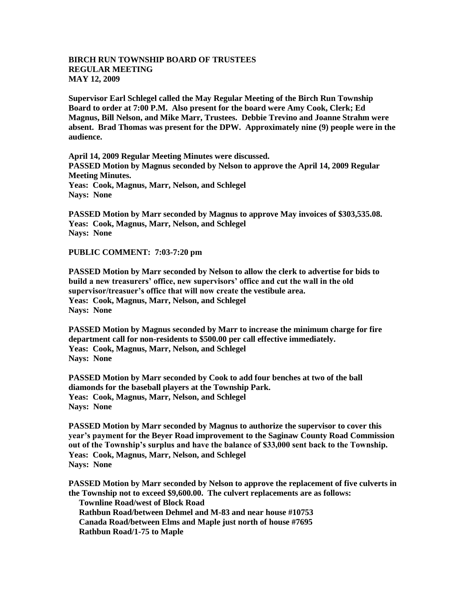## **BIRCH RUN TOWNSHIP BOARD OF TRUSTEES REGULAR MEETING MAY 12, 2009**

**Supervisor Earl Schlegel called the May Regular Meeting of the Birch Run Township Board to order at 7:00 P.M. Also present for the board were Amy Cook, Clerk; Ed Magnus, Bill Nelson, and Mike Marr, Trustees. Debbie Trevino and Joanne Strahm were absent. Brad Thomas was present for the DPW. Approximately nine (9) people were in the audience.** 

**April 14, 2009 Regular Meeting Minutes were discussed. PASSED Motion by Magnus seconded by Nelson to approve the April 14, 2009 Regular Meeting Minutes. Yeas: Cook, Magnus, Marr, Nelson, and Schlegel Nays: None** 

**PASSED Motion by Marr seconded by Magnus to approve May invoices of \$303,535.08. Yeas: Cook, Magnus, Marr, Nelson, and Schlegel Nays: None**

**PUBLIC COMMENT: 7:03-7:20 pm**

**PASSED Motion by Marr seconded by Nelson to allow the clerk to advertise for bids to build a new treasurers' office, new supervisors' office and cut the wall in the old supervisor/treasuer's office that will now create the vestibule area. Yeas: Cook, Magnus, Marr, Nelson, and Schlegel Nays: None**

**PASSED Motion by Magnus seconded by Marr to increase the minimum charge for fire department call for non-residents to \$500.00 per call effective immediately. Yeas: Cook, Magnus, Marr, Nelson, and Schlegel Nays: None**

**PASSED Motion by Marr seconded by Cook to add four benches at two of the ball diamonds for the baseball players at the Township Park. Yeas: Cook, Magnus, Marr, Nelson, and Schlegel Nays: None**

**PASSED Motion by Marr seconded by Magnus to authorize the supervisor to cover this year's payment for the Beyer Road improvement to the Saginaw County Road Commission out of the Township's surplus and have the balance of \$33,000 sent back to the Township. Yeas: Cook, Magnus, Marr, Nelson, and Schlegel Nays: None**

**PASSED Motion by Marr seconded by Nelson to approve the replacement of five culverts in the Township not to exceed \$9,600.00. The culvert replacements are as follows: Townline Road/west of Block Road Rathbun Road/between Dehmel and M-83 and near house #10753 Canada Road/between Elms and Maple just north of house #7695 Rathbun Road/1-75 to Maple**